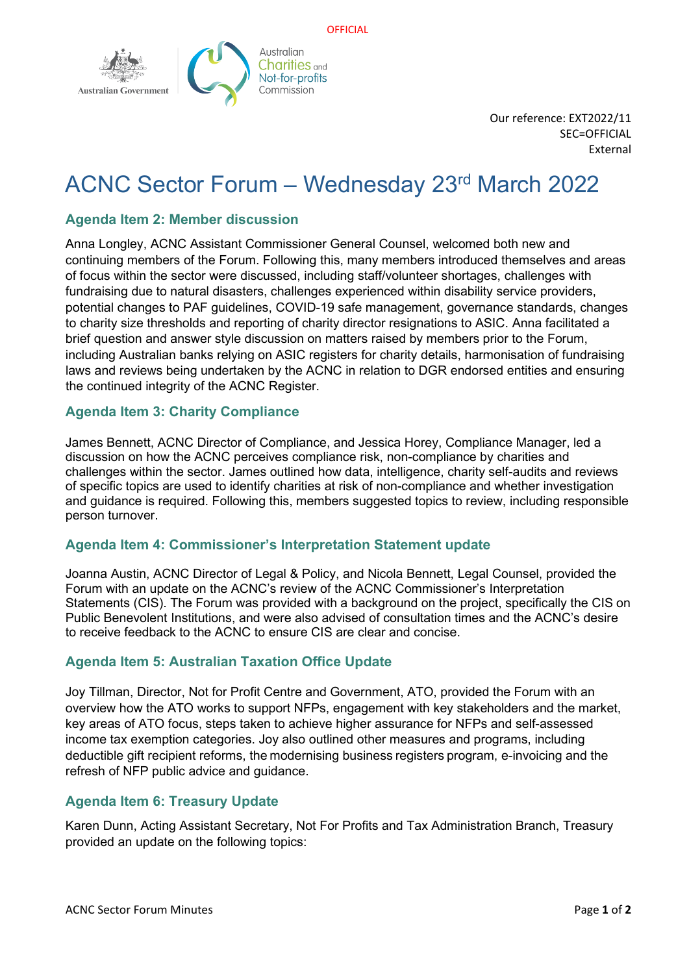



Our reference: EXT2022/11 SEC=OFFICIAL External

# ACNC Sector Forum – Wednesday 23rd March 2022

## **Agenda Item 2: Member discussion**

Anna Longley, ACNC Assistant Commissioner General Counsel, welcomed both new and continuing members of the Forum. Following this, many members introduced themselves and areas of focus within the sector were discussed, including staff/volunteer shortages, challenges with fundraising due to natural disasters, challenges experienced within disability service providers, potential changes to PAF guidelines, COVID-19 safe management, governance standards, changes to charity size thresholds and reporting of charity director resignations to ASIC. Anna facilitated a brief question and answer style discussion on matters raised by members prior to the Forum, including Australian banks relying on ASIC registers for charity details, harmonisation of fundraising laws and reviews being undertaken by the ACNC in relation to DGR endorsed entities and ensuring the continued integrity of the ACNC Register.

### **Agenda Item 3: Charity Compliance**

James Bennett, ACNC Director of Compliance, and Jessica Horey, Compliance Manager, led a discussion on how the ACNC perceives compliance risk, non-compliance by charities and challenges within the sector. James outlined how data, intelligence, charity self-audits and reviews of specific topics are used to identify charities at risk of non-compliance and whether investigation and guidance is required. Following this, members suggested topics to review, including responsible person turnover.

#### **Agenda Item 4: Commissioner's Interpretation Statement update**

Joanna Austin, ACNC Director of Legal & Policy, and Nicola Bennett, Legal Counsel, provided the Forum with an update on the ACNC's review of the ACNC Commissioner's Interpretation Statements (CIS). The Forum was provided with a background on the project, specifically the CIS on Public Benevolent Institutions, and were also advised of consultation times and the ACNC's desire to receive feedback to the ACNC to ensure CIS are clear and concise.

## **Agenda Item 5: Australian Taxation Office Update**

Joy Tillman, Director, Not for Profit Centre and Government, ATO, provided the Forum with an overview how the ATO works to support NFPs, engagement with key stakeholders and the market, key areas of ATO focus, steps taken to achieve higher assurance for NFPs and self-assessed income tax exemption categories. Joy also outlined other measures and programs, including deductible gift recipient reforms, the modernising business registers program, e-invoicing and the refresh of NFP public advice and guidance.

## **Agenda Item 6: Treasury Update**

Karen Dunn, Acting Assistant Secretary, Not For Profits and Tax Administration Branch, Treasury provided an update on the following topics: